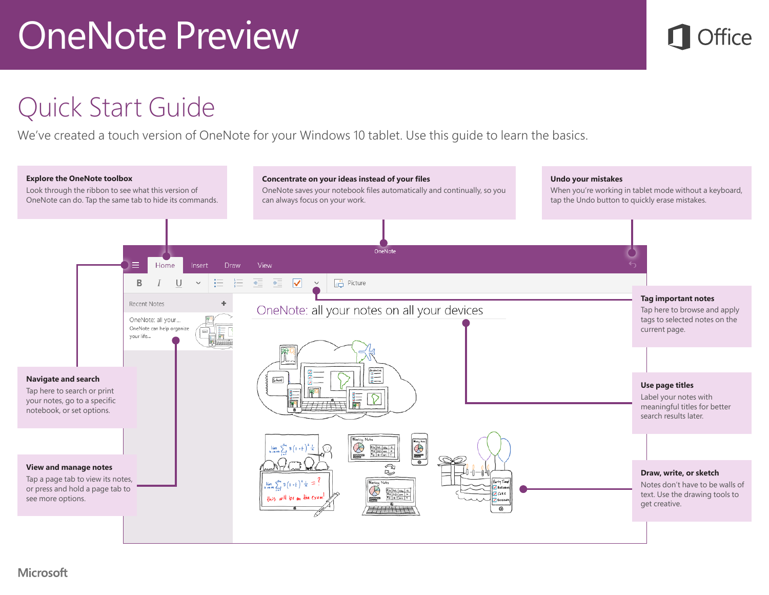

#### Quick Start Guide

We've created a touch version of OneNote for your Windows 10 tablet. Use this guide to learn the basics.

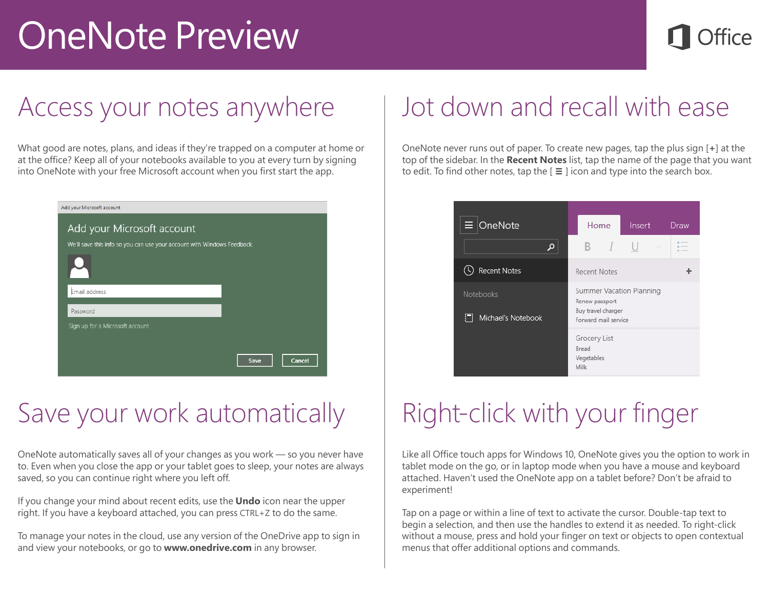#### Access your notes anywhere

What good are notes, plans, and ideas if they're trapped on a computer at home or at the office? Keep all of your notebooks available to you at every turn by signing into OneNote with your free Microsoft account when you first start the app.

| Add your Microsoft account                                              |      |        |
|-------------------------------------------------------------------------|------|--------|
| Add your Microsoft account                                              |      |        |
| We'll save this info so you can use your account with Windows Feedback. |      |        |
|                                                                         |      |        |
| Email address                                                           |      |        |
| Password                                                                |      |        |
| Sign up for a Microsoft account                                         |      |        |
|                                                                         |      |        |
|                                                                         | Save | Cancel |

#### Save your work automatically

OneNote automatically saves all of your changes as you work — so you never have to. Even when you close the app or your tablet goes to sleep, your notes are always saved, so you can continue right where you left off.

If you change your mind about recent edits, use the **Undo** icon near the upper right. If you have a keyboard attached, you can press CTRL+Z to do the same.

To manage your notes in the cloud, use any version of the OneDrive app to sign in and view your notebooks, or go to **www.onedrive.com** in any browser.

#### Jot down and recall with ease

OneNote never runs out of paper. To create new pages, tap the plus sign [**+**] at the top of the sidebar. In the **Recent Notes** list, tap the name of the page that you want to edit. To find other notes, tap the [ **≡** ] icon and type into the search box.

| $\equiv$ OneNote                | Home                                                                                     | Insert | Draw |
|---------------------------------|------------------------------------------------------------------------------------------|--------|------|
| Ω                               | $\Gamma$<br>в.                                                                           | $\sim$ |      |
| <b>Recent Notes</b>             | <b>Recent Notes</b>                                                                      |        |      |
| Notebooks<br>Michael's Notebook | Summer Vacation Planning<br>Renew passport<br>Buy travel charger<br>Forward mail service |        |      |
|                                 | Grocery List<br>Bread<br>Vegetables<br>Milk                                              |        |      |

## Right-click with your finger

Like all Office touch apps for Windows 10, OneNote gives you the option to work in tablet mode on the go, or in laptop mode when you have a mouse and keyboard attached. Haven't used the OneNote app on a tablet before? Don't be afraid to experiment!

Tap on a page or within a line of text to activate the cursor. Double-tap text to begin a selection, and then use the handles to extend it as needed. To right-click without a mouse, press and hold your finger on text or objects to open contextual menus that offer additional options and commands.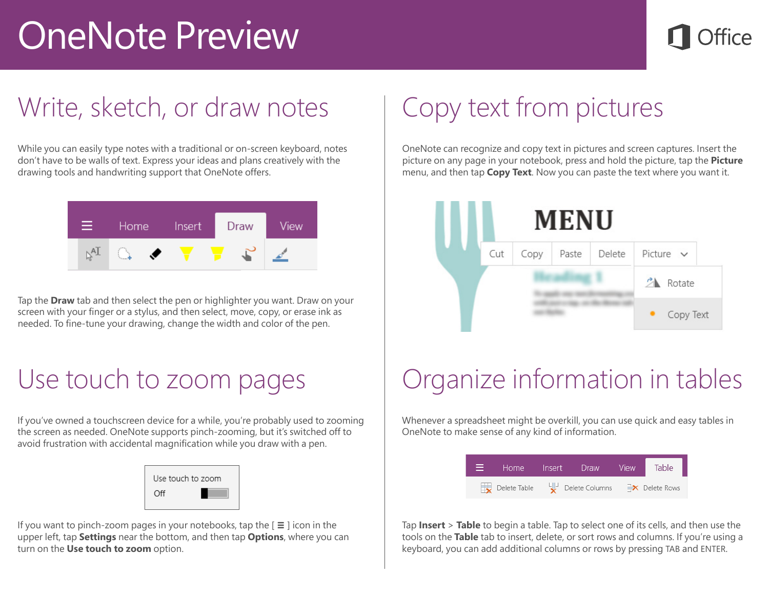### Write, sketch, or draw notes

While you can easily type notes with a traditional or on-screen keyboard, notes don't have to be walls of text. Express your ideas and plans creatively with the drawing tools and handwriting support that OneNote offers.



Tap the **Draw** tab and then select the pen or highlighter you want. Draw on your screen with your finger or a stylus, and then select, move, copy, or erase ink as needed. To fine-tune your drawing, change the width and color of the pen.

#### Use touch to zoom pages

If you've owned a touchscreen device for a while, you're probably used to zooming the screen as needed. OneNote supports pinch-zooming, but it's switched off to avoid frustration with accidental magnification while you draw with a pen.

| Use touch to zoom |  |
|-------------------|--|
| Off               |  |

If you want to pinch-zoom pages in your notebooks, tap the [ **≡** ] icon in the upper left, tap **Settings** near the bottom, and then tap **Options**, where you can turn on the **Use touch to zoom** option.

## Copy text from pictures

OneNote can recognize and copy text in pictures and screen captures. Insert the picture on any page in your notebook, press and hold the picture, tap the **Picture** menu, and then tap **Copy Text**. Now you can paste the text where you want it.



#### Organize information in tables

Whenever a spreadsheet might be overkill, you can use quick and easy tables in OneNote to make sense of any kind of information.



Tap **Insert** > **Table** to begin a table. Tap to select one of its cells, and then use the tools on the **Table** tab to insert, delete, or sort rows and columns. If you're using a keyboard, you can add additional columns or rows by pressing TAB and ENTER.